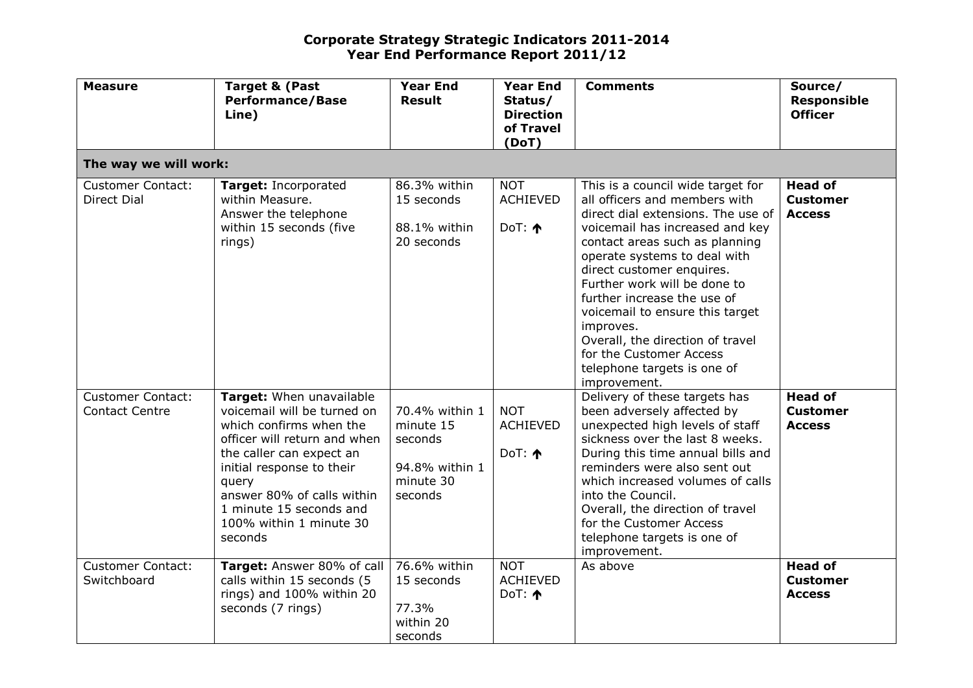| <b>Measure</b>                                    | <b>Target &amp; (Past</b><br><b>Performance/Base</b><br>Line)                                                                                                                                                                                                                       | <b>Year End</b><br><b>Result</b>                                                 | <b>Year End</b><br>Status/<br><b>Direction</b><br>of Travel<br>(DoT) | <b>Comments</b>                                                                                                                                                                                                                                                                                                                                                                                                                                                         | Source/<br><b>Responsible</b><br><b>Officer</b>    |  |  |
|---------------------------------------------------|-------------------------------------------------------------------------------------------------------------------------------------------------------------------------------------------------------------------------------------------------------------------------------------|----------------------------------------------------------------------------------|----------------------------------------------------------------------|-------------------------------------------------------------------------------------------------------------------------------------------------------------------------------------------------------------------------------------------------------------------------------------------------------------------------------------------------------------------------------------------------------------------------------------------------------------------------|----------------------------------------------------|--|--|
|                                                   | The way we will work:                                                                                                                                                                                                                                                               |                                                                                  |                                                                      |                                                                                                                                                                                                                                                                                                                                                                                                                                                                         |                                                    |  |  |
| <b>Customer Contact:</b><br><b>Direct Dial</b>    | Target: Incorporated<br>within Measure.<br>Answer the telephone<br>within 15 seconds (five<br>rings)                                                                                                                                                                                | 86.3% within<br>15 seconds<br>88.1% within<br>20 seconds                         | <b>NOT</b><br><b>ACHIEVED</b><br>DoT: $\uparrow$                     | This is a council wide target for<br>all officers and members with<br>direct dial extensions. The use of<br>voicemail has increased and key<br>contact areas such as planning<br>operate systems to deal with<br>direct customer enquires.<br>Further work will be done to<br>further increase the use of<br>voicemail to ensure this target<br>improves.<br>Overall, the direction of travel<br>for the Customer Access<br>telephone targets is one of<br>improvement. | <b>Head of</b><br><b>Customer</b><br><b>Access</b> |  |  |
| <b>Customer Contact:</b><br><b>Contact Centre</b> | Target: When unavailable<br>voicemail will be turned on<br>which confirms when the<br>officer will return and when<br>the caller can expect an<br>initial response to their<br>query<br>answer 80% of calls within<br>1 minute 15 seconds and<br>100% within 1 minute 30<br>seconds | 70.4% within 1<br>minute 15<br>seconds<br>94.8% within 1<br>minute 30<br>seconds | <b>NOT</b><br><b>ACHIEVED</b><br>DoT: $\uparrow$                     | Delivery of these targets has<br>been adversely affected by<br>unexpected high levels of staff<br>sickness over the last 8 weeks.<br>During this time annual bills and<br>reminders were also sent out<br>which increased volumes of calls<br>into the Council.<br>Overall, the direction of travel<br>for the Customer Access<br>telephone targets is one of<br>improvement.                                                                                           | <b>Head of</b><br><b>Customer</b><br><b>Access</b> |  |  |
| <b>Customer Contact:</b><br>Switchboard           | Target: Answer 80% of call<br>calls within 15 seconds (5<br>rings) and 100% within 20<br>seconds (7 rings)                                                                                                                                                                          | 76.6% within<br>15 seconds<br>77.3%<br>within 20<br>seconds                      | <b>NOT</b><br><b>ACHIEVED</b><br>DoT: $\uparrow$                     | As above                                                                                                                                                                                                                                                                                                                                                                                                                                                                | <b>Head of</b><br><b>Customer</b><br><b>Access</b> |  |  |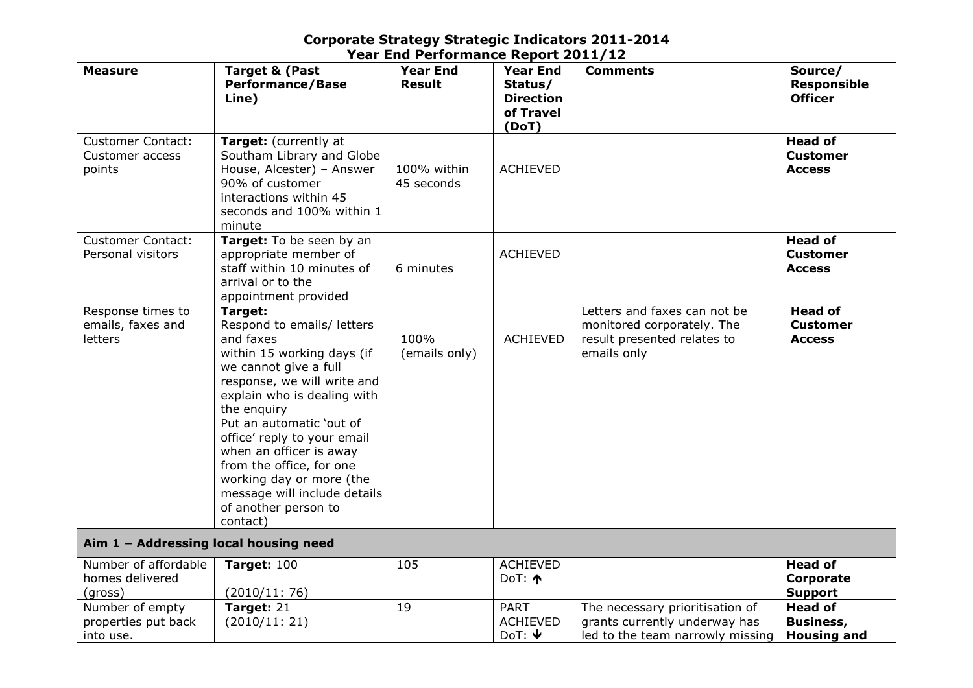| <b>Measure</b>                                               | <b>Target &amp; (Past</b><br><b>Performance/Base</b><br>Line)                                                                                                                                                                                                                                                                                                                                            | <b>Year End</b><br><b>Result</b> | <b>Year End</b><br>Status/<br><b>Direction</b><br>of Travel<br>(DoT) | <b>Comments</b>                                                                                          | Source/<br><b>Responsible</b><br><b>Officer</b>          |  |
|--------------------------------------------------------------|----------------------------------------------------------------------------------------------------------------------------------------------------------------------------------------------------------------------------------------------------------------------------------------------------------------------------------------------------------------------------------------------------------|----------------------------------|----------------------------------------------------------------------|----------------------------------------------------------------------------------------------------------|----------------------------------------------------------|--|
| <b>Customer Contact:</b><br><b>Customer access</b><br>points | Target: (currently at<br>Southam Library and Globe<br>House, Alcester) - Answer<br>90% of customer<br>interactions within 45<br>seconds and 100% within 1<br>minute                                                                                                                                                                                                                                      | 100% within<br>45 seconds        | <b>ACHIEVED</b>                                                      |                                                                                                          | <b>Head of</b><br><b>Customer</b><br><b>Access</b>       |  |
| <b>Customer Contact:</b><br>Personal visitors                | Target: To be seen by an<br>appropriate member of<br>staff within 10 minutes of<br>arrival or to the<br>appointment provided                                                                                                                                                                                                                                                                             | 6 minutes                        | <b>ACHIEVED</b>                                                      |                                                                                                          | <b>Head of</b><br><b>Customer</b><br><b>Access</b>       |  |
| Response times to<br>emails, faxes and<br>letters            | Target:<br>Respond to emails/ letters<br>and faxes<br>within 15 working days (if<br>we cannot give a full<br>response, we will write and<br>explain who is dealing with<br>the enquiry<br>Put an automatic 'out of<br>office' reply to your email<br>when an officer is away<br>from the office, for one<br>working day or more (the<br>message will include details<br>of another person to<br>contact) | 100%<br>(emails only)            | <b>ACHIEVED</b>                                                      | Letters and faxes can not be<br>monitored corporately. The<br>result presented relates to<br>emails only | <b>Head of</b><br><b>Customer</b><br><b>Access</b>       |  |
| Aim 1 - Addressing local housing need                        |                                                                                                                                                                                                                                                                                                                                                                                                          |                                  |                                                                      |                                                                                                          |                                                          |  |
| Number of affordable<br>homes delivered<br>(gross)           | <b>Target: 100</b><br>(2010/11:76)                                                                                                                                                                                                                                                                                                                                                                       | 105                              | <b>ACHIEVED</b><br>DoT: $\uparrow$                                   |                                                                                                          | <b>Head of</b><br>Corporate<br><b>Support</b>            |  |
| Number of empty<br>properties put back<br>into use.          | Target: 21<br>(2010/11:21)                                                                                                                                                                                                                                                                                                                                                                               | 19                               | <b>PART</b><br><b>ACHIEVED</b><br>DoT: $\blacklozenge$               | The necessary prioritisation of<br>grants currently underway has<br>led to the team narrowly missing     | <b>Head of</b><br><b>Business,</b><br><b>Housing and</b> |  |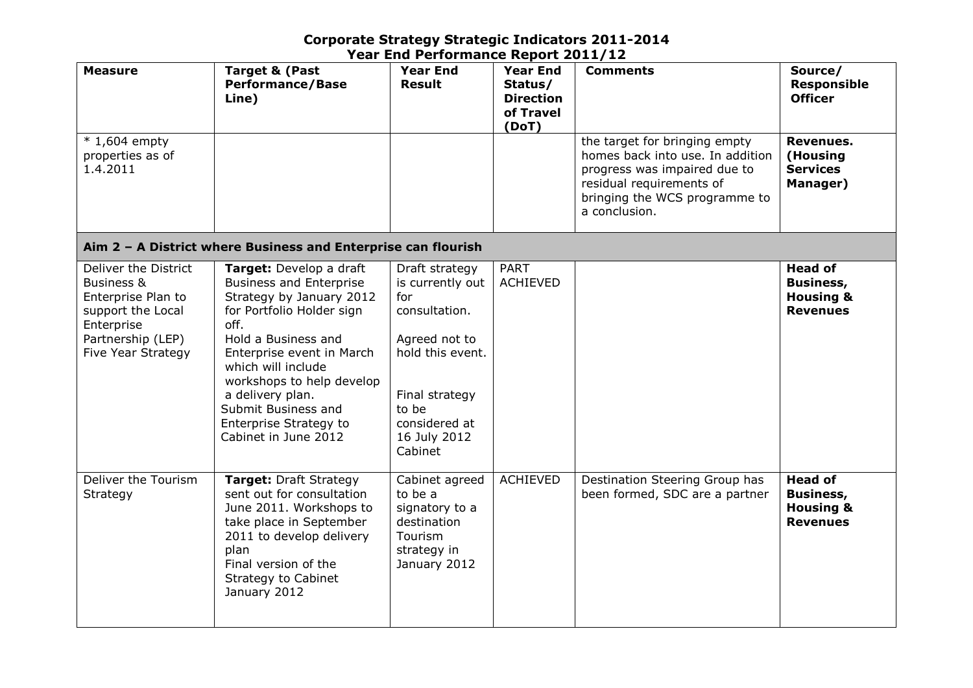| <b>Measure</b>                                                                                                                         | <b>Target &amp; (Past</b><br><b>Performance/Base</b><br>Line)                                                                                                                                                                                                                                                                  | <b>Year End</b><br><b>Result</b>                                                                                                                                       | <b>Year End</b><br>Status/<br><b>Direction</b><br>of Travel<br>(DoT) | <b>Comments</b>                                                                                                                                                                 | Source/<br><b>Responsible</b><br><b>Officer</b>                               |
|----------------------------------------------------------------------------------------------------------------------------------------|--------------------------------------------------------------------------------------------------------------------------------------------------------------------------------------------------------------------------------------------------------------------------------------------------------------------------------|------------------------------------------------------------------------------------------------------------------------------------------------------------------------|----------------------------------------------------------------------|---------------------------------------------------------------------------------------------------------------------------------------------------------------------------------|-------------------------------------------------------------------------------|
| $*1,604$ empty<br>properties as of<br>1.4.2011                                                                                         |                                                                                                                                                                                                                                                                                                                                |                                                                                                                                                                        |                                                                      | the target for bringing empty<br>homes back into use. In addition<br>progress was impaired due to<br>residual requirements of<br>bringing the WCS programme to<br>a conclusion. | Revenues.<br>(Housing<br><b>Services</b><br>Manager)                          |
|                                                                                                                                        | Aim 2 - A District where Business and Enterprise can flourish                                                                                                                                                                                                                                                                  |                                                                                                                                                                        |                                                                      |                                                                                                                                                                                 |                                                                               |
| Deliver the District<br>Business &<br>Enterprise Plan to<br>support the Local<br>Enterprise<br>Partnership (LEP)<br>Five Year Strategy | Target: Develop a draft<br><b>Business and Enterprise</b><br>Strategy by January 2012<br>for Portfolio Holder sign<br>off.<br>Hold a Business and<br>Enterprise event in March<br>which will include<br>workshops to help develop<br>a delivery plan.<br>Submit Business and<br>Enterprise Strategy to<br>Cabinet in June 2012 | Draft strategy<br>is currently out<br>for<br>consultation.<br>Agreed not to<br>hold this event.<br>Final strategy<br>to be<br>considered at<br>16 July 2012<br>Cabinet | <b>PART</b><br><b>ACHIEVED</b>                                       |                                                                                                                                                                                 | <b>Head of</b><br><b>Business,</b><br><b>Housing &amp;</b><br><b>Revenues</b> |
| Deliver the Tourism<br>Strategy                                                                                                        | Target: Draft Strategy<br>sent out for consultation<br>June 2011. Workshops to<br>take place in September<br>2011 to develop delivery<br>plan<br>Final version of the<br><b>Strategy to Cabinet</b><br>January 2012                                                                                                            | Cabinet agreed<br>to be a<br>signatory to a<br>destination<br>Tourism<br>strategy in<br>January 2012                                                                   | <b>ACHIEVED</b>                                                      | Destination Steering Group has<br>been formed, SDC are a partner                                                                                                                | <b>Head of</b><br><b>Business,</b><br><b>Housing &amp;</b><br><b>Revenues</b> |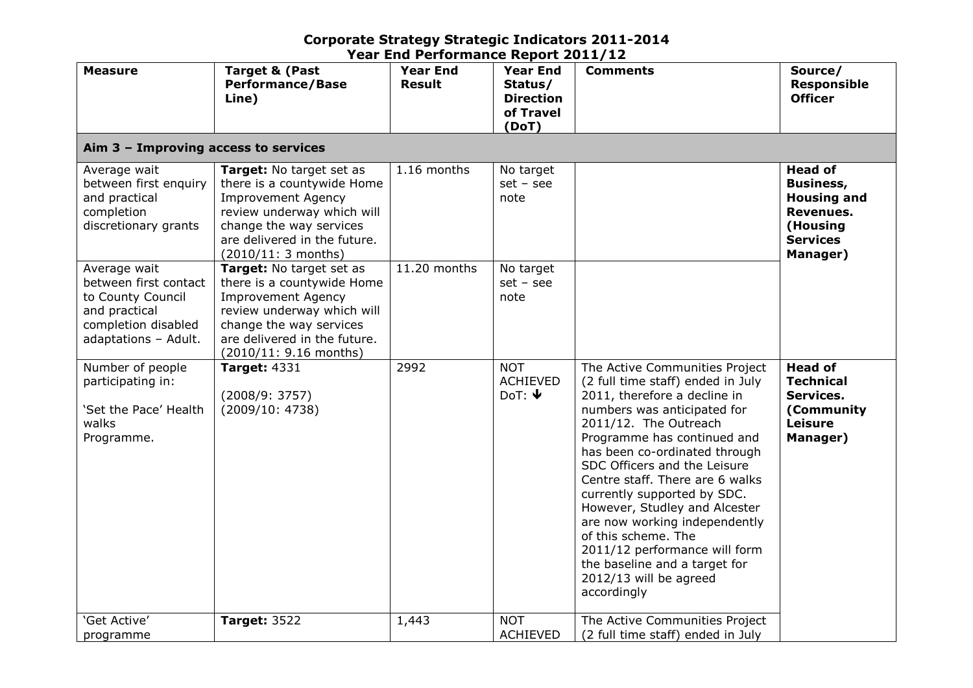| <b>Measure</b>                                                                                                             | <b>Target &amp; (Past</b><br><b>Performance/Base</b><br>Line)                                                                                                                                          | <b>Year End</b><br><b>Result</b> | <b>Year End</b><br>Status/<br><b>Direction</b><br>of Travel<br>(DoT) | <b>Comments</b>                                                                                                                                                                                                                                                                                                                                                                                                                                                                                                                   | Source/<br><b>Responsible</b><br><b>Officer</b>                                                                  |
|----------------------------------------------------------------------------------------------------------------------------|--------------------------------------------------------------------------------------------------------------------------------------------------------------------------------------------------------|----------------------------------|----------------------------------------------------------------------|-----------------------------------------------------------------------------------------------------------------------------------------------------------------------------------------------------------------------------------------------------------------------------------------------------------------------------------------------------------------------------------------------------------------------------------------------------------------------------------------------------------------------------------|------------------------------------------------------------------------------------------------------------------|
| Aim 3 - Improving access to services                                                                                       |                                                                                                                                                                                                        |                                  |                                                                      |                                                                                                                                                                                                                                                                                                                                                                                                                                                                                                                                   |                                                                                                                  |
| Average wait<br>between first enquiry<br>and practical<br>completion<br>discretionary grants                               | Target: No target set as<br>there is a countywide Home<br><b>Improvement Agency</b><br>review underway which will<br>change the way services<br>are delivered in the future.<br>(2010/11: 3 months)    | 1.16 months                      | No target<br>$set - see$<br>note                                     |                                                                                                                                                                                                                                                                                                                                                                                                                                                                                                                                   | <b>Head of</b><br><b>Business,</b><br><b>Housing and</b><br>Revenues.<br>(Housing<br><b>Services</b><br>Manager) |
| Average wait<br>between first contact<br>to County Council<br>and practical<br>completion disabled<br>adaptations - Adult. | Target: No target set as<br>there is a countywide Home<br><b>Improvement Agency</b><br>review underway which will<br>change the way services<br>are delivered in the future.<br>(2010/11: 9.16 months) | 11.20 months                     | No target<br>$set - see$<br>note                                     |                                                                                                                                                                                                                                                                                                                                                                                                                                                                                                                                   |                                                                                                                  |
| Number of people<br>participating in:<br>'Set the Pace' Health<br>walks<br>Programme.                                      | <b>Target: 4331</b><br>(2008/9: 3757)<br>(2009/10: 4738)                                                                                                                                               | 2992                             | <b>NOT</b><br><b>ACHIEVED</b><br>DoT: $\blacklozenge$                | The Active Communities Project<br>(2 full time staff) ended in July<br>2011, therefore a decline in<br>numbers was anticipated for<br>2011/12. The Outreach<br>Programme has continued and<br>has been co-ordinated through<br>SDC Officers and the Leisure<br>Centre staff. There are 6 walks<br>currently supported by SDC.<br>However, Studley and Alcester<br>are now working independently<br>of this scheme. The<br>2011/12 performance will form<br>the baseline and a target for<br>2012/13 will be agreed<br>accordingly | <b>Head of</b><br><b>Technical</b><br>Services.<br>(Community<br><b>Leisure</b><br>Manager)                      |
| 'Get Active'<br>programme                                                                                                  | <b>Target: 3522</b>                                                                                                                                                                                    | 1,443                            | <b>NOT</b><br><b>ACHIEVED</b>                                        | The Active Communities Project<br>(2 full time staff) ended in July                                                                                                                                                                                                                                                                                                                                                                                                                                                               |                                                                                                                  |